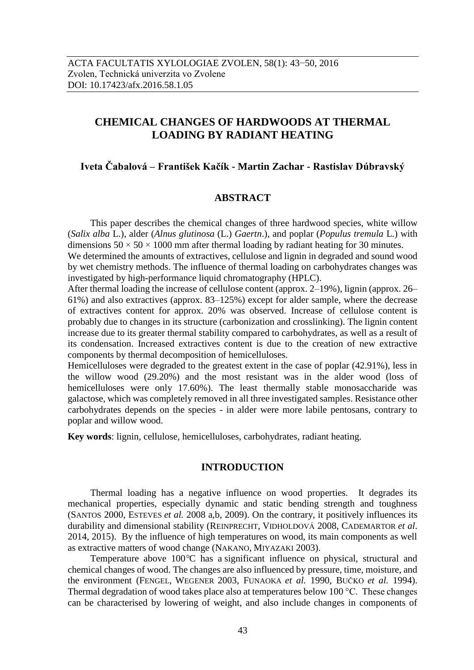# **CHEMICAL CHANGES OF HARDWOODS AT THERMAL LOADING BY RADIANT HEATING**

# **Iveta Čabalová – František Kačík - Martin Zachar - Rastislav Dúbravský**

# **ABSTRACT**

This paper describes the chemical changes of three hardwood species, white willow (*Salix alba* L.), alder (*Alnus glutinosa* (L.) *Gaertn*.), and poplar (*Populus tremula* L.) with dimensions  $50 \times 50 \times 1000$  mm after thermal loading by radiant heating for 30 minutes.

We determined the amounts of extractives, cellulose and lignin in degraded and sound wood by wet chemistry methods. The influence of thermal loading on carbohydrates changes was investigated by high-performance liquid chromatography (HPLC).

After thermal loading the increase of cellulose content (approx. 2–19%), lignin (approx. 26– 61%) and also extractives (approx. 83–125%) except for alder sample, where the decrease of extractives content for approx. 20% was observed. Increase of cellulose content is probably due to changes in its structure (carbonization and crosslinking). The lignin content increase due to its greater thermal stability compared to carbohydrates, as well as a result of its condensation. Increased extractives content is due to the creation of new extractive components by thermal decomposition of hemicelluloses.

Hemicelluloses were degraded to the greatest extent in the case of poplar (42.91%), less in the willow wood (29.20%) and the most resistant was in the alder wood (loss of hemicelluloses were only 17.60%). The least thermally stable monosaccharide was galactose, which was completely removed in all three investigated samples. Resistance other carbohydrates depends on the species - in alder were more labile pentosans, contrary to poplar and willow wood.

**Key words**: lignin, cellulose, hemicelluloses, carbohydrates, radiant heating.

### **INTRODUCTION**

Thermal loading has a negative influence on wood properties. It degrades its mechanical properties, especially dynamic and static bending strength and toughness (SANTOS 2000, ESTEVES *et al.* 2008 a,b, 2009). On the contrary, it positively influences its durability and dimensional stability (REINPRECHT, VIDHOLDOVÁ 2008, CADEMARTOR *et al*. 2014, 2015). By the influence of high temperatures on wood, its main components as well as extractive matters of wood change (NAKANO, MIYAZAKI 2003).

Temperature above 100*°*C has a significant influence on physical, structural and chemical changes of wood. The changes are also influenced by pressure, time, moisture, and the environment (FENGEL, WEGENER 2003, FUNAOKA *et al.* 1990, BUČKO *et al.* 1994). Thermal degradation of wood takes place also at temperatures below 100 °C. These changes can be characterised by lowering of weight, and also include changes in components of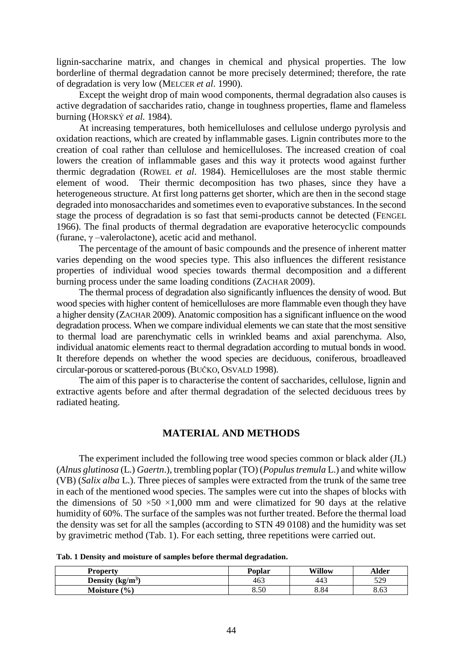lignin-saccharine matrix, and changes in chemical and physical properties. The low borderline of thermal degradation cannot be more precisely determined; therefore, the rate of degradation is very low (MELCER *et al*. 1990).

Except the weight drop of main wood components, thermal degradation also causes is active degradation of saccharides ratio, change in toughness properties, flame and flameless burning (HORSKÝ *et al.* 1984).

At increasing temperatures, both hemicelluloses and cellulose undergo pyrolysis and oxidation reactions, which are created by inflammable gases. Lignin contributes more to the creation of coal rather than cellulose and hemicelluloses. The increased creation of coal lowers the creation of inflammable gases and this way it protects wood against further thermic degradation (ROWEL *et al*. 1984). Hemicelluloses are the most stable thermic element of wood. Their thermic decomposition has two phases, since they have a heterogeneous structure. At first long patterns get shorter, which are then in the second stage degraded into monosaccharides and sometimes even to evaporative substances. In the second stage the process of degradation is so fast that semi-products cannot be detected (FENGEL 1966). The final products of thermal degradation are evaporative heterocyclic compounds (furane, γ –valerolactone), acetic acid and methanol.

The percentage of the amount of basic compounds and the presence of inherent matter varies depending on the wood species type. This also influences the different resistance properties of individual wood species towards thermal decomposition and a different burning process under the same loading conditions (ZACHAR 2009).

The thermal process of degradation also significantly influences the density of wood. But wood species with higher content of hemicelluloses are more flammable even though they have a higher density (ZACHAR 2009). Anatomic composition has a significant influence on the wood degradation process. When we compare individual elements we can state that the most sensitive to thermal load are parenchymatic cells in wrinkled beams and axial parenchyma. Also, individual anatomic elements react to thermal degradation according to mutual bonds in wood. It therefore depends on whether the wood species are deciduous, coniferous, broadleaved circular-porous or scattered-porous (BUČKO, OSVALD 1998).

The aim of this paper is to characterise the content of saccharides, cellulose, lignin and extractive agents before and after thermal degradation of the selected deciduous trees by radiated heating.

## **MATERIAL AND METHODS**

The experiment included the following tree wood species common or black alder (JL) (*Alnus glutinosa* (L.) *Gaertn*.), trembling poplar (TO) (*Populus tremula* L.) and white willow (VB) (*Salix alba* L.). Three pieces of samples were extracted from the trunk of the same tree in each of the mentioned wood species. The samples were cut into the shapes of blocks with the dimensions of 50  $\times$ 50  $\times$ 1,000 mm and were climatized for 90 days at the relative humidity of 60%. The surface of the samples was not further treated. Before the thermal load the density was set for all the samples (according to STN 49 0108) and the humidity was set by gravimetric method (Tab. 1). For each setting, three repetitions were carried out.

**Tab. 1 Density and moisture of samples before thermal degradation.**

| <b>Property</b>   | <b>Poplar</b> | <b>Willow</b> | Alder |
|-------------------|---------------|---------------|-------|
| Density $(kg/m3)$ | 463           | 443           | 529   |
| (9/0)<br>Moisture | 8.50          | 8.84          | 8.63  |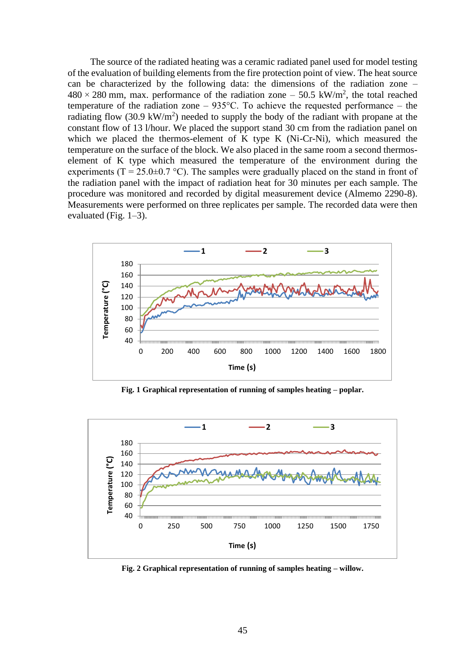The source of the radiated heating was a ceramic radiated panel used for model testing of the evaluation of building elements from the fire protection point of view. The heat source can be characterized by the following data: the dimensions of the radiation zone –  $480 \times 280$  mm, max. performance of the radiation zone  $-50.5$  kW/m<sup>2</sup>, the total reached temperature of the radiation zone  $-935^{\circ}$ C. To achieve the requested performance – the radiating flow (30.9 kW/m<sup>2</sup>) needed to supply the body of the radiant with propane at the constant flow of 13 l/hour. We placed the support stand 30 cm from the radiation panel on which we placed the thermos-element of K type K (Ni-Cr-Ni), which measured the temperature on the surface of the block. We also placed in the same room a second thermoselement of K type which measured the temperature of the environment during the experiments (T = 25.0 $\pm$ 0.7 °C). The samples were gradually placed on the stand in front of the radiation panel with the impact of radiation heat for 30 minutes per each sample. The procedure was monitored and recorded by digital measurement device (Almemo 2290-8). Measurements were performed on three replicates per sample. The recorded data were then evaluated (Fig. 1–3).



**Fig. 1 Graphical representation of running of samples heating – poplar.**



**Fig. 2 Graphical representation of running of samples heating – willow.**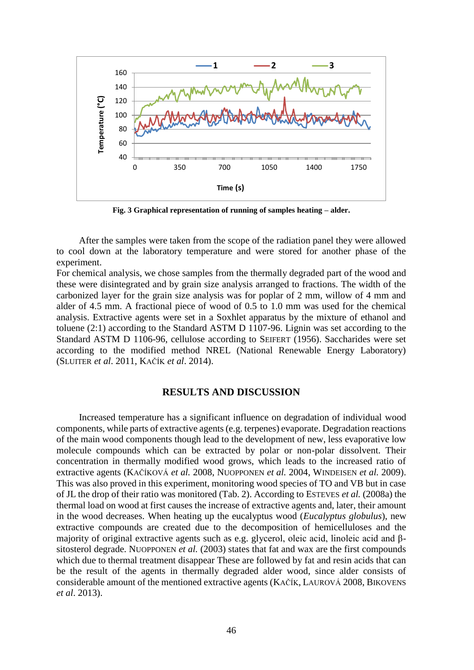

**Fig. 3 Graphical representation of running of samples heating – alder.**

After the samples were taken from the scope of the radiation panel they were allowed to cool down at the laboratory temperature and were stored for another phase of the experiment.

For chemical analysis, we chose samples from the thermally degraded part of the wood and these were disintegrated and by grain size analysis arranged to fractions. The width of the carbonized layer for the grain size analysis was for poplar of 2 mm, willow of 4 mm and alder of 4.5 mm. A fractional piece of wood of 0.5 to 1.0 mm was used for the chemical analysis. Extractive agents were set in a Soxhlet apparatus by the mixture of ethanol and toluene (2:1) according to the Standard ASTM D 1107-96. Lignin was set according to the Standard ASTM D 1106-96, cellulose according to SEIFERT (1956). Saccharides were set according to the modified method NREL (National Renewable Energy Laboratory) (SLUITER *et al*. 2011, KAČÍK *et al*. 2014).

#### **RESULTS AND DISCUSSION**

Increased temperature has a significant influence on degradation of individual wood components, while parts of extractive agents (e.g. terpenes) evaporate. Degradation reactions of the main wood components though lead to the development of new, less evaporative low molecule compounds which can be extracted by polar or non-polar dissolvent. Their concentration in thermally modified wood grows, which leads to the increased ratio of extractive agents (KAČÍKOVÁ *et al.* 2008, NUOPPONEN *et al.* 2004, WINDEISEN *et al.* 2009). This was also proved in this experiment, monitoring wood species of TO and VB but in case of JL the drop of their ratio was monitored (Tab. 2). According to ESTEVES *et al.* (2008a) the thermal load on wood at first causes the increase of extractive agents and, later, their amount in the wood decreases. When heating up the eucalyptus wood (*Eucalyptus globulus*), new extractive compounds are created due to the decomposition of hemicelluloses and the majority of original extractive agents such as e.g. glycerol, oleic acid, linoleic acid and βsitosterol degrade. NUOPPONEN *et al.* (2003) states that fat and wax are the first compounds which due to thermal treatment disappear These are followed by fat and resin acids that can be the result of the agents in thermally degraded alder wood, since alder consists of considerable amount of the mentioned extractive agents (KAČÍK, LAUROVÁ 2008, BIKOVENS *et al*. 2013).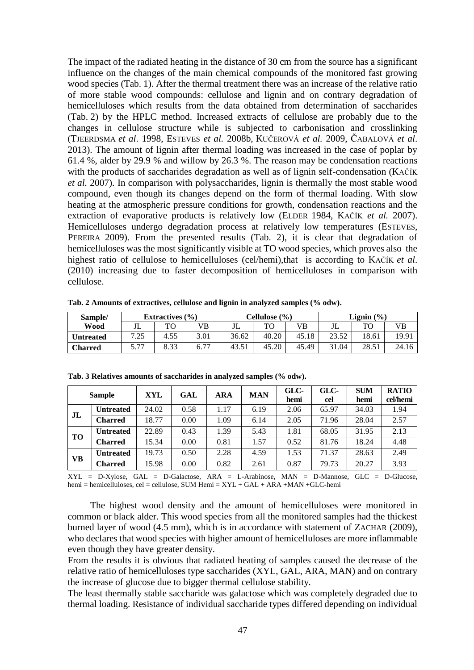The impact of the radiated heating in the distance of 30 cm from the source has a significant influence on the changes of the main chemical compounds of the monitored fast growing wood species (Tab. 1). After the thermal treatment there was an increase of the relative ratio of more stable wood compounds: cellulose and lignin and on contrary degradation of hemicelluloses which results from the data obtained from determination of saccharides (Tab. 2) by the HPLC method. Increased extracts of cellulose are probably due to the changes in cellulose structure while is subjected to carbonisation and crosslinking (TJEERDSMA *et al*. 1998, ESTEVES *et al.* 2008b, KUČEROVÁ *et al.* 2009, ČABALOVÁ *et al*. 2013). The amount of lignin after thermal loading was increased in the case of poplar by 61.4 %, alder by 29.9 % and willow by 26.3 %. The reason may be condensation reactions with the products of saccharides degradation as well as of lignin self-condensation (KAČÍK *et al.* 2007). In comparison with polysaccharides, lignin is thermally the most stable wood compound, even though its changes depend on the form of thermal loading. With slow heating at the atmospheric pressure conditions for growth, condensation reactions and the extraction of evaporative products is relatively low (ELDER 1984, KAČÍK *et al.* 2007). Hemicelluloses undergo degradation process at relatively low temperatures (ESTEVES, PEREIRA 2009). From the presented results (Tab. 2), it is clear that degradation of hemicelluloses was the most significantly visible at TO wood species, which proves also the highest ratio of cellulose to hemicelluloses (cel/hemi),that is according to KAČÍK *et al*. (2010) increasing due to faster decomposition of hemicelluloses in comparison with cellulose.

| Sample/          | Extractives $(\% )$ |      |      | Cellulose (%) |       |       | Lignin $(\% )$ |       |       |
|------------------|---------------------|------|------|---------------|-------|-------|----------------|-------|-------|
| Wood             | بال                 | TО   | VB   | JL            | TO    | VB    | JL             | TС    | VВ    |
| <b>Untreated</b> | 7.25                | 4.55 | 3.01 | 36.62         | 40.20 | 45.18 | 23.52          | 18.61 | 19.91 |
| <b>Charred</b>   | 5.77                | 8.33 | 6.77 | 43.51         | 45.20 | 45.49 | 31.04          | 28.51 | 24.16 |

**Tab. 2 Amounts of extractives, cellulose and lignin in analyzed samples (% odw).**

|                | <b>Sample</b>    | XYL   | GAL  | <b>ARA</b> | <b>MAN</b> | GLC-<br>hemi | GLC-<br>cel | <b>SUM</b><br>hemi | <b>RATIO</b><br>cel/hemi |
|----------------|------------------|-------|------|------------|------------|--------------|-------------|--------------------|--------------------------|
| J <sub>L</sub> | <b>Untreated</b> | 24.02 | 0.58 | 1.17       | 6.19       | 2.06         | 65.97       | 34.03              | 1.94                     |
|                | <b>Charred</b>   | 18.77 | 0.00 | 1.09       | 6.14       | 2.05         | 71.96       | 28.04              | 2.57                     |
| <b>TO</b>      | <b>Untreated</b> | 22.89 | 0.43 | 1.39       | 5.43       | 1.81         | 68.05       | 31.95              | 2.13                     |
|                | <b>Charred</b>   | 15.34 | 0.00 | 0.81       | 1.57       | 0.52         | 81.76       | 18.24              | 4.48                     |
| <b>VB</b>      | <b>Untreated</b> | 19.73 | 0.50 | 2.28       | 4.59       | 1.53         | 71.37       | 28.63              | 2.49                     |
|                | <b>Charred</b>   | 15.98 | 0.00 | 0.82       | 2.61       | 0.87         | 79.73       | 20.27              | 3.93                     |

**Tab. 3 Relatives amounts of saccharides in analyzed samples (% odw).**

XYL = D-Xylose, GAL = D-Galactose, ARA = L-Arabinose, MAN = D-Mannose, GLC = D-Glucose, hemi = hemicelluloses, cel = cellulose, SUM Hemi = XYL + GAL + ARA +MAN +GLC-hemi

The highest wood density and the amount of hemicelluloses were monitored in common or black alder. This wood species from all the monitored samples had the thickest burned layer of wood (4.5 mm), which is in accordance with statement of ZACHAR (2009), who declares that wood species with higher amount of hemicelluloses are more inflammable even though they have greater density.

From the results it is obvious that radiated heating of samples caused the decrease of the relative ratio of hemicelluloses type saccharides (XYL, GAL, ARA, MAN) and on contrary the increase of glucose due to bigger thermal cellulose stability.

The least thermally stable saccharide was galactose which was completely degraded due to thermal loading. Resistance of individual saccharide types differed depending on individual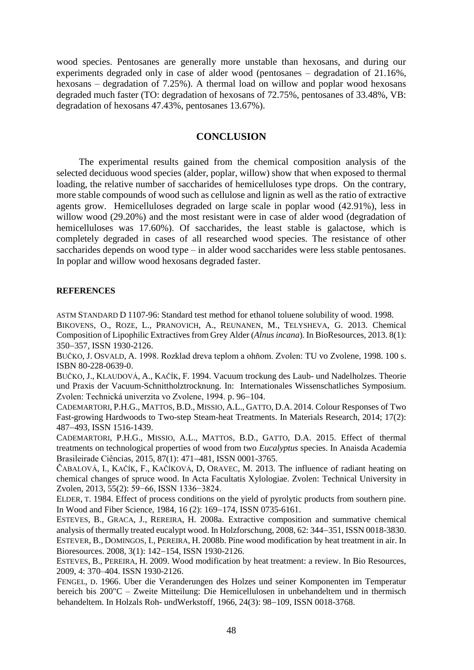wood species. Pentosanes are generally more unstable than hexosans, and during our experiments degraded only in case of alder wood (pentosanes – degradation of 21.16%, hexosans – degradation of 7.25%). A thermal load on willow and poplar wood hexosans degraded much faster (TO: degradation of hexosans of 72.75%, pentosanes of 33.48%, VB: degradation of hexosans 47.43%, pentosanes 13.67%).

# **CONCLUSION**

The experimental results gained from the chemical composition analysis of the selected deciduous wood species (alder, poplar, willow) show that when exposed to thermal loading, the relative number of saccharides of hemicelluloses type drops. On the contrary, more stable compounds of wood such as cellulose and lignin as well as the ratio of extractive agents grow. Hemicelluloses degraded on large scale in poplar wood (42.91%), less in willow wood (29.20%) and the most resistant were in case of alder wood (degradation of hemicelluloses was 17.60%). Of saccharides, the least stable is galactose, which is completely degraded in cases of all researched wood species. The resistance of other saccharides depends on wood type – in alder wood saccharides were less stable pentosanes. In poplar and willow wood hexosans degraded faster.

#### **REFERENCES**

ASTM STANDARD D 1107-96: Standard test method for ethanol toluene solubility of wood. 1998.

BIKOVENS, O., ROZE, L., PRANOVICH, A., REUNANEN, M., TELYSHEVA, G. 2013. Chemical Composition of Lipophilic Extractives from Grey Alder (*Alnus incana*). In BioResources, 2013. 8(1): 350-357, ISSN 1930-2126.

BUČKO, J. OSVALD, A. 1998. Rozklad dreva teplom a ohňom. Zvolen: TU vo Zvolene, 1998. 100 s. ISBN 80-228-0639-0.

BUČKO, J., KLAUDOVÁ, A., KAČÍK, F. 1994. Vacuum trockung des Laub- und Nadelholzes. Theorie und Praxis der Vacuum-Schnittholztrocknung. In: Internationales Wissenschatliches Symposium. Zvolen: Technická univerzita vo Zvolene, 1994. p. 96–104.

CADEMARTORI, P.H.G., MATTOS, B.D., MISSIO, A.L., GATTO, D.A. 2014. Colour Responses of Two Fast-growing Hardwoods to Two-step Steam-heat Treatments. In Materials Research, 2014; 17(2): 487493, ISSN 1516-1439.

CADEMARTORI, P.H.G., MISSIO, A.L., MATTOS, B.D., GATTO, D.A. 2015. Effect of thermal treatments on technological properties of wood from two *Eucalyptus* species. In Anaisda Academia Brasileirade Ciências, 2015, 87(1): 471-481, ISSN 0001-3765.

ČABALOVÁ, I., KAČÍK, F., KAČÍKOVÁ, D, ORAVEC, M. 2013. The influence of radiant heating on chemical changes of spruce wood. In Acta Facultatis Xylologiae. Zvolen: Technical University in Zvolen, 2013, 55(2): 59−66, ISSN 1336−3824.

ELDER, T. 1984. Effect of process conditions on the yield of pyrolytic products from southern pine. In Wood and Fiber Science, 1984, 16 (2): 169-174, ISSN 0735-6161.

ESTEVES, B., GRACA, J., REREIRA, H. 2008a. Extractive composition and summative chemical analysis of thermally treated eucalypt wood. In Holzforschung, 2008, 62: 344–351, ISSN 0018-3830. ESTEVER, B., DOMINGOS, I., PEREIRA, H. 2008b. Pine wood modification by heat treatment in air. In Bioresources. 2008, 3(1): 142-154, ISSN 1930-2126.

ESTEVES, B., PEREIRA, H. 2009. Wood modification by heat treatment: a review. In Bio Resources, 2009, 4: 370–404. ISSN 1930-2126.

FENGEL, D. 1966. Uber die Veranderungen des Holzes und seiner Komponenten im Temperatur bereich bis 200"C – Zweite Mitteilung: Die Hemicellulosen in unbehandeltem und in thermisch behandeltem. In Holzals Roh- [undWerkstoff,](http://link.springer.com/journal/107) 1966, 24(3): 98-109, ISSN 0018-3768.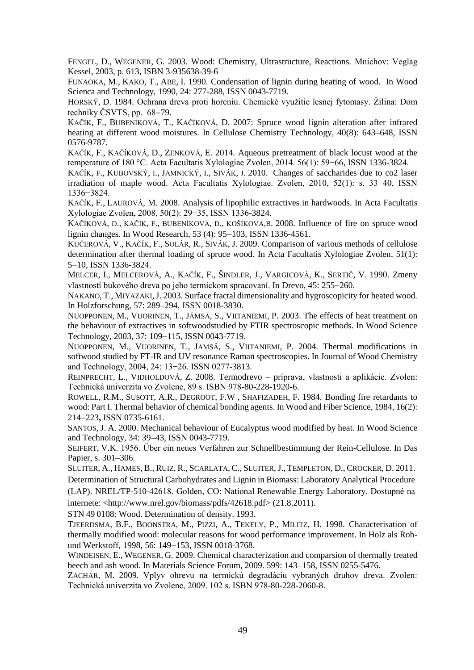FENGEL, D., WEGENER, G. 2003. Wood: Chemistry, Ultrastructure, Reactions. Mníchov: Veglag Kessel, 2003, p. 613, ISBN 3-935638-39-6

FUNAOKA, M., KAKO, T., ABE, I. 1990. Condensation of lignin during heating of wood. In Wood Scienca and Technology, 1990, 24: 277-288, ISSN 0043-7719.

HORSKÝ, D. 1984. Ochrana dreva proti horeniu. Chemické využitie lesnej fytomasy. Žilina: Dom techniky ČSVTS, pp.  $68-79$ .

KAČÍK, F., BUBENÍKOVÁ, T., KAČÍKOVÁ, D. 2007: Spruce wood lignin alteration after infrared heating at different wood moistures. In Cellulose Chemistry Technology, 40(8): 643–648, ISSN 0576-9787.

KAČÍK, F., KAČÍKOVÁ, D., ZENKOVÁ, E. 2014. Aqueous pretreatment of black locust wood at the temperature of 180 °C. Acta Facultatis Xylologiae Zvolen, 2014. 56(1): 59−66, ISSN 1336-3824.

KAČÍK, F., KUBOVSKÝ, I., JAMNICKÝ, I., SIVÁK, J. 2010. Changes of saccharides due to co2 laser irradiation of maple wood. Acta Facultatis Xylologiae. Zvolen, 2010, 52(1): s. 33−40, ISSN 1336−3824.

KAČÍK, F., LAUROVÁ, M. 2008. Analysis of lipophilic extractives in hardwoods. In Acta Facultatis Xylologiae Zvolen, 2008, 50(2): 29−35, ISSN 1336-3824.

KAČÍKOVÁ, D., KAČÍK, F., BUBENÍKOVÁ, D., KOŠÍKOVÁ,B. 2008. Influence of fire on spruce wood lignin changes. In Wood Research, 53 (4): 95–103, ISSN 1336-4561.

KUČEROVÁ, V., KAČÍK, F., SOLÁR, R., SIVÁK, J. 2009. Comparison of various methods of cellulose determination after thermal loading of spruce wood. In Acta Facultatis Xylologiae Zvolen, 51(1): 5-10, ISSN 1336-3824.

MELCER, I., MELCEROVÁ, A., KAČÍK, F., ŠINDLER, J., VARGICOVÁ, K., SERTIČ, V. 1990. Zmeny vlastností bukového dreva po jeho termickom spracovaní. In Drevo, 45: 255–260.

NAKANO, T., MIYAZAKI,J. 2003. Surface fractal dimensionality and hygroscopicity for heated wood. In Holzforschung, 57: 289–294, ISSN 0018-3830.

NUOPPONEN, M., V[UORINEN](http://link.springer.com/search?facet-creator=%22Tapani+Vuorinen%22), T., J[ÄMSÄ](http://link.springer.com/search?facet-creator=%22Saila+J%C3%A4ms%C3%A4%22), S., V[IITANIEMI](http://link.springer.com/search?facet-creator=%22Pertti+Viitaniemi%22), P. 2003. The effects of heat treatment on the behaviour of extractives in softwoodstudied by FTIR spectroscopic methods. In Wood Science Technology, 2003, 37: 109-115, ISSN 0043-7719.

NUOPPONEN, M., VUORINEN, T., JAMSÄ, S., VIITANIEMI, P. 2004. Thermal modifications in softwood studied by FT-IR and UV resonance Raman spectroscopies. In Journal of Wood Chemistry and Technology, 2004, 24: 13−26. ISSN 0277-3813.

REINPRECHT, L., VIDHOLDOVÁ, Z. 2008. Termodrevo – príprava, vlastnosti a aplikácie. Zvolen: Technická univerzita vo Zvolene, 89 s. ISBN 978-80-228-1920-6.

ROWELL, R.M., SUSOTT, A.R., DEGROOT, F.W , SHAFIZADEH, F. 1984. Bonding fire retardants to wood: Part I. Thermal behavior of chemical bonding agents. In Wood and Fiber Science, 1984, 16(2): 214223**,** ISSN 0735-6161.

SANTOS, J. A. 2000. Mechanical behaviour of Eucalyptus wood modified by heat. In Wood Science and Technology, 34: 39–43, ISSN 0043-7719.

SEIFERT, V.K. 1956. Űber ein neues Verfahren zur Schnellbestimmung der Rein-Cellulose. In Das Papier, s. 301–306.

SLUITER, A., HAMES, B., RUIZ, R., SCARLATA, C., SLUITER,J., TEMPLETON, D., CROCKER, D. 2011.

Determination of Structural Carbohydrates and Lignin in Biomass: Laboratory Analytical Procedure (LAP). NREL/TP-510-42618. Golden, CO: National Renewable Energy Laboratory. Dostupné na internete: <http://www.nrel.gov/biomass/pdfs/42618.pdf> (21.8.2011).

STN 49 0108: Wood. Determination of density. 1993.

TJEERDSMA, B.F., BOONSTRA, M., PIZZI, A., TEKELY, P., MILITZ, H. 1998. Characterisation of thermally modified wood: molecular reasons for wood performance improvement. In Holz als Rohund Werkstoff, 1998, 56: 149–153, ISSN 0018-3768.

WINDEISEN, E., WEGENER, G. 2009. Chemical characterization and comparsion of thermally treated beech and ash wood. In Materials Science Forum, 2009. 599: 143–158, ISSN 0255-5476.

ZACHAR, M. 2009. Vplyv ohrevu na termickú degradáciu vybraných druhov dreva. Zvolen: Technická univerzita vo Zvolene, 2009. 102 s. ISBN 978-80-228-2060-8.